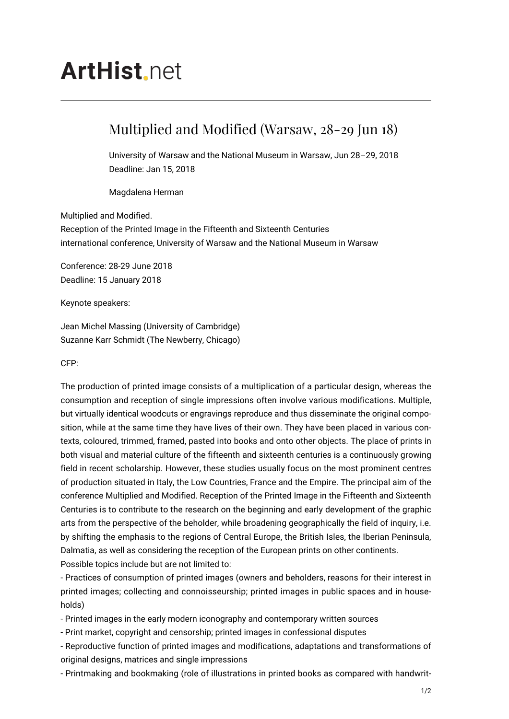## **ArtHist** net

## Multiplied and Modified (Warsaw, 28-29 Jun 18)

University of Warsaw and the National Museum in Warsaw, Jun 28–29, 2018 Deadline: Jan 15, 2018

Magdalena Herman

## Multiplied and Modified.

Reception of the Printed Image in the Fifteenth and Sixteenth Centuries international conference, University of Warsaw and the National Museum in Warsaw

Conference: 28-29 June 2018 Deadline: 15 January 2018

Keynote speakers:

Jean Michel Massing (University of Cambridge) Suzanne Karr Schmidt (The Newberry, Chicago)

CFP:

The production of printed image consists of a multiplication of a particular design, whereas the consumption and reception of single impressions often involve various modifications. Multiple, but virtually identical woodcuts or engravings reproduce and thus disseminate the original composition, while at the same time they have lives of their own. They have been placed in various contexts, coloured, trimmed, framed, pasted into books and onto other objects. The place of prints in both visual and material culture of the fifteenth and sixteenth centuries is a continuously growing field in recent scholarship. However, these studies usually focus on the most prominent centres of production situated in Italy, the Low Countries, France and the Empire. The principal aim of the conference Multiplied and Modified. Reception of the Printed Image in the Fifteenth and Sixteenth Centuries is to contribute to the research on the beginning and early development of the graphic arts from the perspective of the beholder, while broadening geographically the field of inquiry, i.e. by shifting the emphasis to the regions of Central Europe, the British Isles, the Iberian Peninsula, Dalmatia, as well as considering the reception of the European prints on other continents. Possible topics include but are not limited to:

- Practices of consumption of printed images (owners and beholders, reasons for their interest in printed images; collecting and connoisseurship; printed images in public spaces and in households)

- Printed images in the early modern iconography and contemporary written sources

- Print market, copyright and censorship; printed images in confessional disputes

- Reproductive function of printed images and modifications, adaptations and transformations of original designs, matrices and single impressions

- Printmaking and bookmaking (role of illustrations in printed books as compared with handwrit-